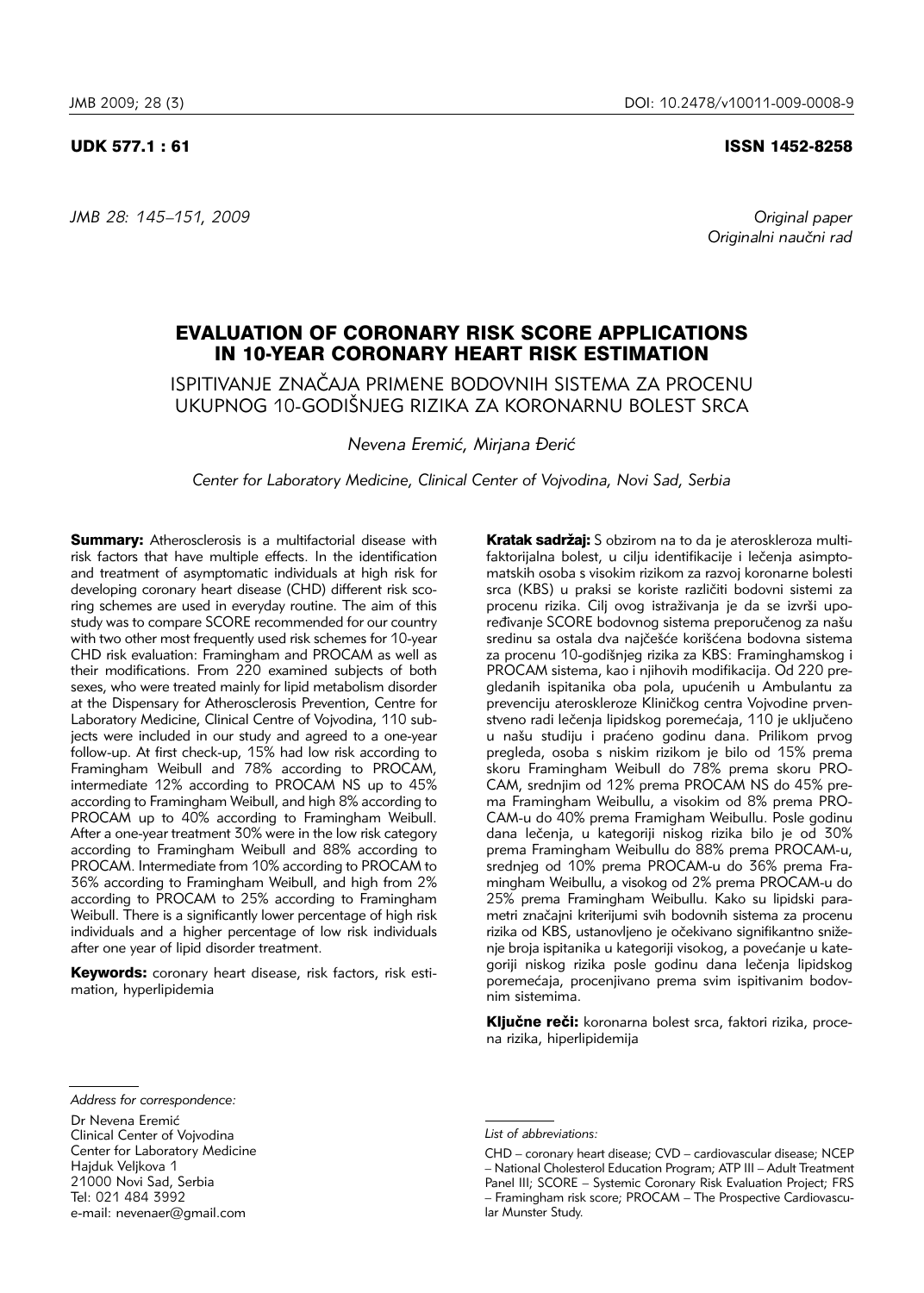## UDK 577.1 : 61 ISSN 1452-8258

*JMB 28: 145–151, 2009 Original paper*

Originalni naučni rad

# EVALUATION OF CORONARY RISK SCORE APPLICATIONS IN 10-YEAR CORONARY HEART RISK ESTIMATION

ISPITIVANJE ZNA^AJA PRIMENE BODOVNIH SISTEMA ZA PROCENU UKUPNOG 10-GODIŠNJEG RIZIKA ZA KORONARNU BOLEST SRCA

*Nevena Eremić, Mirjana Đerić* 

*Center for Laboratory Medicine, Clinical Center of Vojvodina, Novi Sad, Serbia*

**Summary:** Atherosclerosis is a multifactorial disease with risk factors that have multiple effects. In the identification and treatment of asymptomatic individuals at high risk for developing coronary heart disease (CHD) different risk scoring schemes are used in everyday routine. The aim of this study was to compare SCORE recommended for our country with two other most frequently used risk schemes for 10-year CHD risk evaluation: Framingham and PROCAM as well as their modifications. From 220 examined subjects of both sexes, who were treated mainly for lipid metabolism disorder at the Dispensary for Atherosclerosis Prevention, Centre for Laboratory Medicine, Clinical Centre of Vojvodina, 110 subjects were included in our study and agreed to a one-year follow-up. At first check-up, 15% had low risk according to Framingham Weibull and 78% according to PROCAM, intermediate 12% according to PROCAM NS up to 45% according to Framingham Weibull, and high 8% according to PROCAM up to 40% according to Framingham Weibull. After a one-year treatment 30% were in the low risk category according to Framingham Weibull and 88% according to PROCAM. Intermediate from 10% according to PROCAM to 36% according to Framingham Weibull, and high from 2% according to PROCAM to 25% according to Framingham Weibull. There is a significantly lower percentage of high risk individuals and a higher percentage of low risk individuals after one year of lipid disorder treatment.

Keywords: coronary heart disease, risk factors, risk estima tion, hyperlipidemia

Kratak sadržaj: S obzirom na to da je ateroskleroza multifaktorijalna bolest, u cilju identifikacije i lečenja asimptomatskih osoba s visokim rizikom za razvoj koronarne bolesti srca (KBS) u praksi se koriste različiti bodovni sistemi za procenu rizika. Cilj ovog istraživanja je da se izvrši upoređivanje SCORE bodovnog sistema preporučenog za našu sredinu sa ostala dva najčešće korišćena bodovna sistema za procenu 10-godišnjeg rizika za KBS: Framinghamskog i PROCAM sistema, kao i njihovih modifikacija. Od 220 pregledanih ispitanika oba pola, upućenih u Ambulantu za prevenciju ateroskleroze Kliničkog centra Vojvodine prvenstveno radi lečenja lipidskog poremećaja, 110 je uključeno u našu studiju i praćeno godinu dana. Prilikom prvog pregleda, osoba s niskim rizikom je bilo od 15% prema skoru Framingham Weibull do 78% prema skoru PRO-CAM, srednjim od 12% prema PROCAM NS do 45% prema Framingham Weibullu, a visokim od 8% prema PRO-CAM-u do 40% prema Framigham Weibullu. Posle godinu dana lečenja, u kategoriji niskog rizika bilo je od 30% prema Framingham Weibullu do 88% prema PROCAM-u, srednjeg od 10% prema PROCAM-u do 36% prema Framingham Weibullu, a visokog od 2% prema PROCAM-u do 25% prema Framingham Weibullu. Kako su lipidski parametri značajni kriterijumi svih bodovnih sistema za procenu rizika od KBS, ustanovljeno je očekivano signifikantno sniženje broja ispitanika u kategoriji visokog, a povećanje u kategoriji niskog rizika posle godinu dana lečenja lipidskog poremećaja, procenjivano prema svim ispitivanim bodovnim sistemima.

Ključne reči: koronarna bolest srca, faktori rizika, procena rizika, hiperlipidemija

Hajduk Veljkova 1

21000 Novi Sad, Serbia

Tel: 021 484 3992

*Address for correspondence:*

Dr Nevena Eremić Clinical Center of Vojvodina Center for Laboratory Medicine

e-mail: nevenaer@gmail.com

*List of abbreviations:*

CHD – coronary heart disease; CVD – cardiovascular disease; NCEP – National Cholesterol Education Program; ATP III – Adult Treatment Panel III; SCORE – Systemic Coronary Risk Evaluation Project; FRS – Framingham risk score; PROCAM – The Prospective Cardiovascular Munster Study.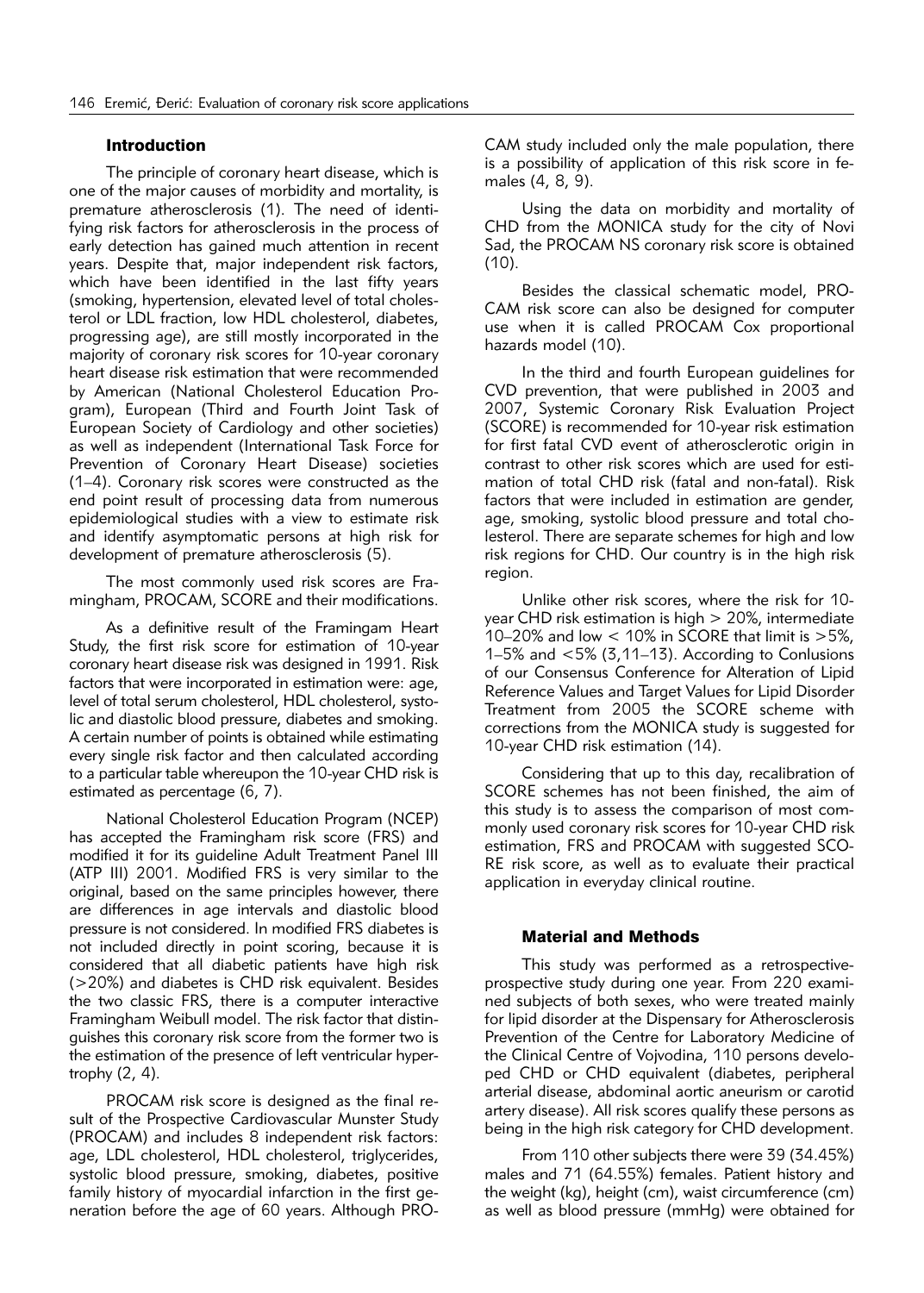## Introduction

The principle of coronary heart disease, which is one of the major causes of morbidity and mortality, is premature atherosclerosis (1). The need of identifying risk factors for atherosclerosis in the process of early detection has gained much attention in recent years. Despite that, major independent risk factors, which have been identified in the last fifty years (smoking, hypertension, elevated level of total cholesterol or LDL fraction, low HDL cholesterol, diabetes, progressing age), are still mostly incorporated in the majority of coronary risk scores for 10-year coronary heart disease risk estimation that were recommended by American (National Cholesterol Education Program), European (Third and Fourth Joint Task of European Society of Cardiology and other societies) as well as independent (International Task Force for Prevention of Coronary Heart Disease) societies (1–4). Coronary risk scores were constructed as the end point result of processing data from numerous epidemiological studies with a view to estimate risk and identify asymptomatic persons at high risk for development of premature atherosclerosis (5).

The most commonly used risk scores are Framingham, PROCAM, SCORE and their modifications.

As a definitive result of the Framingam Heart Study, the first risk score for estimation of 10-year coronary heart disease risk was designed in 1991. Risk factors that were incorporated in estimation were: age, level of total serum cholesterol, HDL cholesterol, systolic and diastolic blood pressure, diabetes and smoking. A certain number of points is obtained while estimating every single risk factor and then calculated according to a particular table whereupon the 10-year CHD risk is estimated as percentage (6, 7).

National Cholesterol Education Program (NCEP) has accepted the Framingham risk score (FRS) and modified it for its guideline Adult Treatment Panel III (ATP III) 2001. Modified FRS is very similar to the original, based on the same principles however, there are differences in age intervals and diastolic blood pressure is not considered. In modified FRS diabetes is not included directly in point scoring, because it is considered that all diabetic patients have high risk (>20%) and diabetes is CHD risk equivalent. Besides the two classic FRS, there is a computer interactive Framingham Weibull model. The risk factor that distinguishes this coronary risk score from the former two is the estimation of the presence of left ventricular hypertrophy (2, 4).

PROCAM risk score is designed as the final result of the Prospective Cardiovascular Munster Study (PROCAM) and includes 8 independent risk factors: age, LDL cholesterol, HDL cholesterol, triglycerides, systolic blood pressure, smoking, diabetes, positive family history of myocardial infarction in the first generation before the age of 60 years. Although PRO-

CAM study included only the male population, there is a possibility of application of this risk score in females (4, 8, 9).

Using the data on morbidity and mortality of CHD from the MONICA study for the city of Novi Sad, the PROCAM NS coronary risk score is obtained (10).

Besides the classical schematic model, PRO-CAM risk score can also be designed for computer use when it is called PROCAM Cox proportional hazards model (10).

In the third and fourth European guidelines for CVD prevention, that were published in 2003 and 2007, Systemic Coronary Risk Evaluation Project (SCORE) is recommended for 10-year risk estimation for first fatal CVD event of atherosclerotic origin in contrast to other risk scores which are used for estimation of total CHD risk (fatal and non-fatal). Risk factors that were included in estimation are gender, age, smoking, systolic blood pressure and total cholesterol. There are separate schemes for high and low risk regions for CHD. Our country is in the high risk region.

Unlike other risk scores, where the risk for 10 year CHD risk estimation is high  $> 20\%$ , intermediate 10–20% and low  $<$  10% in SCORE that limit is  $>5\%$ , 1–5% and  $< 5\%$  (3,11–13). According to Conlusions of our Consensus Conference for Alteration of Lipid Reference Values and Target Values for Lipid Disorder Treatment from 2005 the SCORE scheme with corrections from the MONICA study is suggested for 10-year CHD risk estimation (14).

Considering that up to this day, recalibration of SCORE schemes has not been finished, the aim of this study is to assess the comparison of most commonly used coronary risk scores for 10-year CHD risk estimation, FRS and PROCAM with suggested SCO-RE risk score, as well as to evaluate their practical application in everyday clinical routine.

# Material and Methods

This study was performed as a retrospectiveprospective study during one year. From 220 examined subjects of both sexes, who were treated mainly for lipid disorder at the Dispensary for Atherosclerosis Prevention of the Centre for Laboratory Medicine of the Clinical Centre of Vojvodina, 110 persons developed CHD or CHD equivalent (diabetes, peripheral arterial disease, abdominal aortic aneurism or carotid artery disease). All risk scores qualify these persons as being in the high risk category for CHD development.

From 110 other subjects there were 39 (34.45%) males and 71 (64.55%) females. Patient history and the weight (kg), height (cm), waist circumference (cm) as well as blood pressure (mmHg) were obtained for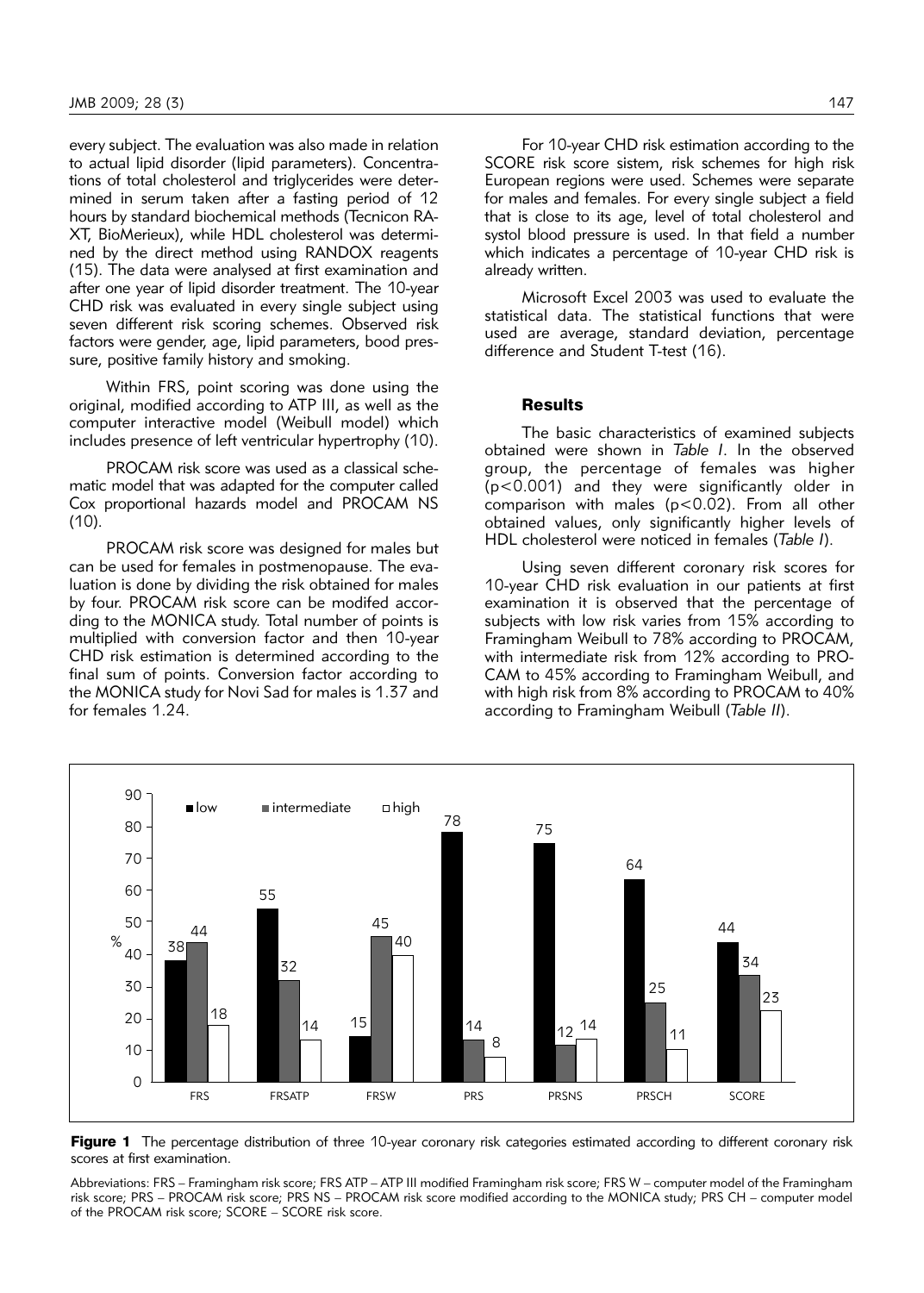every subject. The evaluation was also made in relation to actual lipid disorder (lipid parameters). Concentrations of total cholesterol and triglycerides were determined in serum taken after a fasting period of 12 hours by standard biochemical methods (Tecnicon RA-XT, BioMerieux), while HDL cholesterol was determined by the direct method using RANDOX reagents (15). The data were analysed at first examination and after one year of lipid disorder treatment. The 10-year CHD risk was evaluated in every single subject using seven different risk scoring schemes. Observed risk factors were gender, age, lipid parameters, bood pressure, positive family history and smoking.

Within FRS, point scoring was done using the original, modified according to ATP III, as well as the computer interactive model (Weibull model) which includes presence of left ventricular hypertrophy (10).

PROCAM risk score was used as a classical schematic model that was adapted for the computer called Cox proportional hazards model and PROCAM NS  $(10)$ .

PROCAM risk score was designed for males but can be used for females in postmenopause. The evaluation is done by dividing the risk obtained for males by four. PROCAM risk score can be modifed according to the MONICA study. Total number of points is multiplied with conversion factor and then 10-year CHD risk estimation is determined according to the final sum of points. Conversion factor according to the MONICA study for Novi Sad for males is 1.37 and for females 1.24.

For 10-year CHD risk estimation according to the SCORE risk score sistem, risk schemes for high risk European regions were used. Schemes were separate for males and females. For every single subject a field that is close to its age, level of total cholesterol and systol blood pressure is used. In that field a number which indicates a percentage of 10-year CHD risk is already written.

Microsoft Excel 2003 was used to evaluate the statistical data. The statistical functions that were used are average, standard deviation, percentage difference and Student T-test (16).

# **Results**

The basic characteristics of examined subjects obtained were shown in *Table I*. In the observed group, the percentage of females was higher (p<0.001) and they were significantly older in comparison with males (p<0.02). From all other obtained values, only significantly higher levels of HDL cholesterol were noticed in females (*Table I*).

Using seven different coronary risk scores for 10-year CHD risk evaluation in our patients at first examination it is observed that the percentage of subjects with low risk varies from 15% according to Framingham Weibull to 78% according to PROCAM, with intermediate risk from 12% according to PRO-CAM to 45% according to Framingham Weibull, and with high risk from 8% according to PROCAM to 40% according to Framingham Weibull (*Table II*).



Figure 1 The percentage distribution of three 10-year coronary risk categories estimated according to different coronary risk scores at first examination.

Abbreviations: FRS – Framingham risk score; FRS ATP – ATP III modified Framingham risk score; FRS W – computer model of the Framingham risk score; PRS – PROCAM risk score; PRS NS – PROCAM risk score modified according to the MONICA study; PRS CH – computer model of the PROCAM risk score; SCORE – SCORE risk score.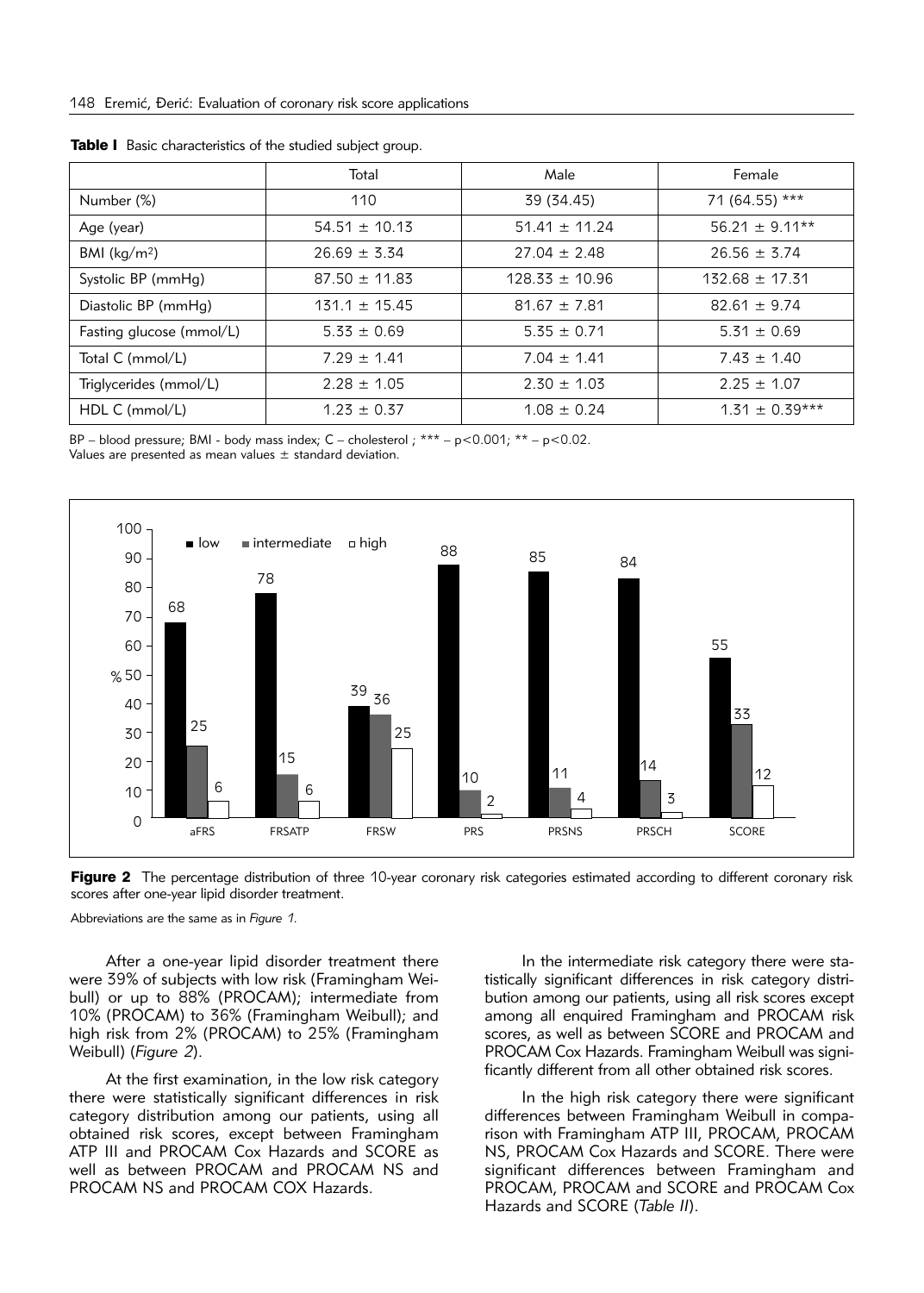|                          | Total             | Male               | Female             |  |  |  |  |
|--------------------------|-------------------|--------------------|--------------------|--|--|--|--|
| Number (%)               | 110               | 39 (34.45)         | 71 (64.55) ***     |  |  |  |  |
| Age (year)               | $54.51 \pm 10.13$ | $51.41 \pm 11.24$  | $56.21 \pm 9.11**$ |  |  |  |  |
| BMI ( $\text{kg/m}^2$ )  | $26.69 \pm 3.34$  | $27.04 \pm 2.48$   | $26.56 \pm 3.74$   |  |  |  |  |
| Systolic BP (mmHg)       | $87.50 \pm 11.83$ | $128.33 \pm 10.96$ | $132.68 \pm 17.31$ |  |  |  |  |
| Diastolic BP (mmHg)      | $131.1 \pm 15.45$ | $81.67 \pm 7.81$   | $82.61 \pm 9.74$   |  |  |  |  |
| Fasting glucose (mmol/L) | $5.33 \pm 0.69$   | $5.35 \pm 0.71$    | $5.31 \pm 0.69$    |  |  |  |  |
| Total C (mmol/L)         | $7.29 \pm 1.41$   | $7.04 \pm 1.41$    | $7.43 \pm 1.40$    |  |  |  |  |
| Triglycerides (mmol/L)   | $2.28 \pm 1.05$   | $2.30 \pm 1.03$    | $2.25 \pm 1.07$    |  |  |  |  |
| $HDLC$ (mmol/L)          | $1.23 \pm 0.37$   | $1.08 \pm 0.24$    | $1.31 \pm 0.39***$ |  |  |  |  |

Table I Basic characteristics of the studied subject group.

BP – blood pressure; BMI - body mass index;  $C$  – cholesterol;  $***$  –  $p$  < 0.001;  $**$  –  $p$  < 0.02.

Values are presented as mean values  $\pm$  standard deviation.



Figure 2 The percentage distribution of three 10-year coronary risk categories estimated according to different coronary risk scores after one-year lipid disorder treatment.

Abbreviations are the same as in *Figure 1*.

After a one-year lipid disorder treatment there were 39% of subjects with low risk (Framingham Weibull) or up to 88% (PROCAM); intermediate from 10% (PROCAM) to 36% (Framingham Weibull); and high risk from 2% (PROCAM) to 25% (Framingham Weibull) (*Figure 2*).

At the first examination, in the low risk category there were statistically significant differences in risk category distribution among our patients, using all obtained risk scores, except between Framingham ATP III and PROCAM Cox Hazards and SCORE as well as between PROCAM and PROCAM NS and PROCAM NS and PROCAM COX Hazards.

In the intermediate risk category there were statistically significant differences in risk category distribution among our patients, using all risk scores except among all enquired Framingham and PROCAM risk scores, as well as between SCORE and PROCAM and PROCAM Cox Hazards. Framingham Weibull was significantly different from all other obtained risk scores.

In the high risk category there were significant differences between Framingham Weibull in comparison with Framingham ATP III, PROCAM, PROCAM NS, PROCAM Cox Hazards and SCORE. There were significant differences between Framingham and PROCAM, PROCAM and SCORE and PROCAM Cox Hazards and SCORE (*Table II*).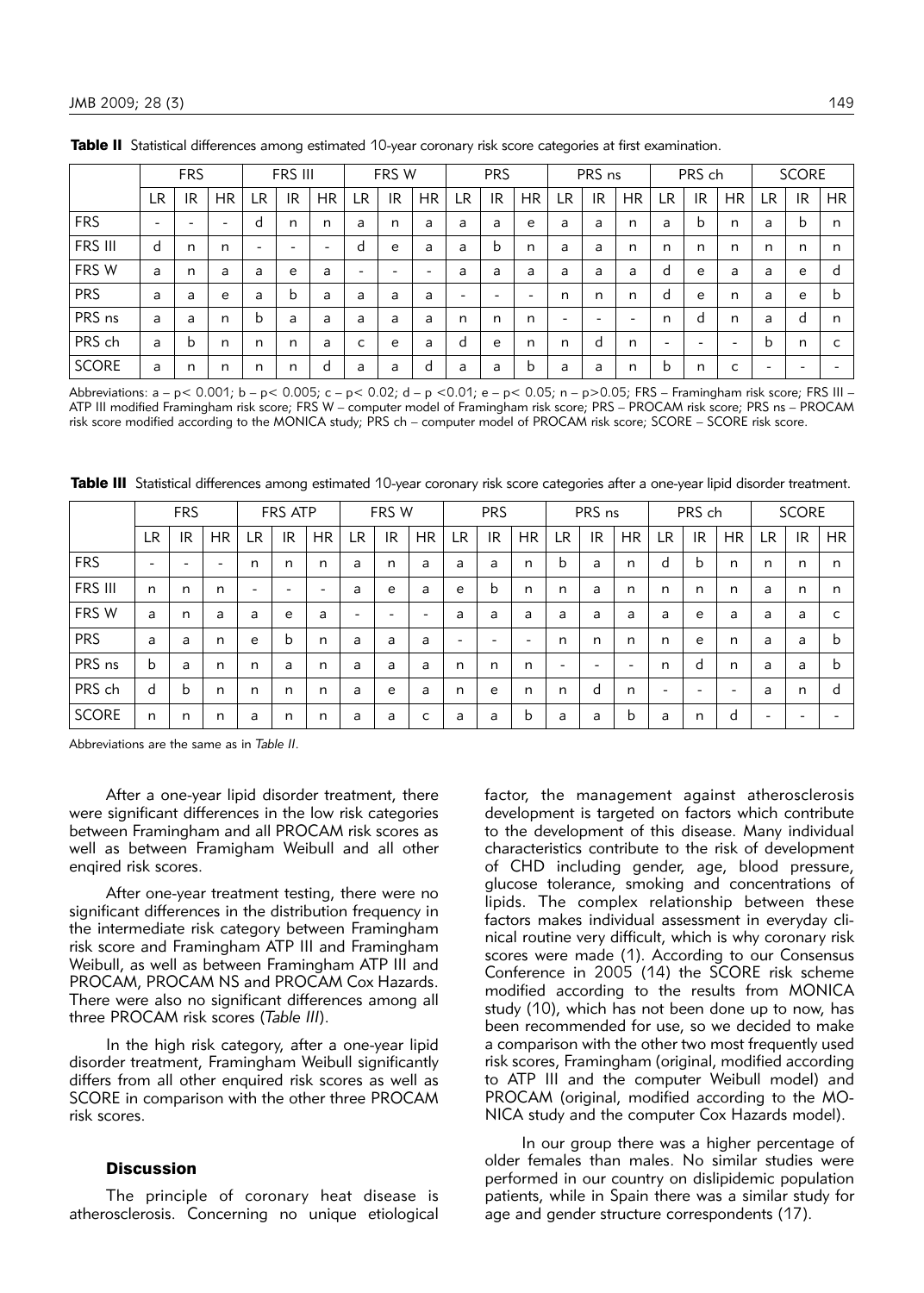|              | <b>FRS</b>               |    |           |                          | FRS III                  |                          | FRS W     |           |                          | <b>PRS</b> |    |           | PRS ns |                          |                          | PRS ch    |                          |                          | <b>SCORE</b> |    |           |
|--------------|--------------------------|----|-----------|--------------------------|--------------------------|--------------------------|-----------|-----------|--------------------------|------------|----|-----------|--------|--------------------------|--------------------------|-----------|--------------------------|--------------------------|--------------|----|-----------|
|              | LR.                      | IR | <b>HR</b> | LR                       | IR                       | <b>HR</b>                | <b>LR</b> | <b>IR</b> | <b>HR</b>                | LR         | IR | <b>HR</b> | LR     | IR                       | <b>HR</b>                | <b>LR</b> | IR                       | <b>HR</b>                | LR           | IR | <b>HR</b> |
| <b>FRS</b>   | $\overline{\phantom{0}}$ |    | -         | d                        | n                        | n                        | a         | n         | a                        | a          | a  | e         | a      | a                        | n                        | a         | b                        | n                        | a            | b  | n         |
| FRS III      | d                        | n  | n         | $\overline{\phantom{0}}$ | $\overline{\phantom{0}}$ | $\overline{\phantom{0}}$ | d         | e         | a                        | a          | b  | n         | a      | a                        | n                        | n         | n                        | n                        | n            | n  | n         |
| FRS W        | a                        | n  | a         | a                        | e                        | a                        | -         | -         | $\overline{\phantom{0}}$ | a          | a  | a         | a      | a                        | a                        | d         | e                        | a                        | a            | e  | d         |
| <b>PRS</b>   | a                        | a  | e         | a                        | b                        | a                        | a         | a         | a                        | -          | -  | -         | n      | n                        | n                        | d         | e                        | n                        | a            | e  | b         |
| PRS ns       | a                        | a  | n         | b                        | a                        | a                        | a         | a         | a                        | n          | n  | n         | -      | $\overline{\phantom{0}}$ | $\overline{\phantom{0}}$ | n         | d                        | n                        | a            | d  | n         |
| PRS ch       | a                        | b  | n         | n                        | n                        | a                        | c         | e         | a                        | d          | e  | n         | n      | d                        | n                        | -         | $\overline{\phantom{0}}$ | $\overline{\phantom{0}}$ | b            | n  | c         |
| <b>SCORE</b> | a                        | n  | n         | n                        | n                        | d                        | a         | a         | d                        | a          | a  | b         | a      | a                        | n                        | b         | n                        | c                        | -            |    |           |

Table II Statistical differences among estimated 10-year coronary risk score categories at first examination.

Abbreviations: a – p< 0.001; b – p< 0.005; c – p< 0.02; d – p <0.01; e – p< 0.05; n – p>0.05; FRS – Framingham risk score; FRS III – ATP III modified Framingham risk score; FRS W – computer model of Framingham risk score; PRS – PROCAM risk score; PRS ns – PROCAM risk score modified according to the MONICA study; PRS ch – computer model of PROCAM risk score; SCORE – SCORE risk score.

Table III Statistical differences among estimated 10-year coronary risk score categories after a one-year lipid disorder treatment.

|              | <b>FRS</b>               |                          | FRS ATP                  |                          |                          | FRS W                    |                          |    | <b>PRS</b> |    |                          | PRS ns    |     |    | PRS ch    |           |    | <b>SCORE</b> |                          |     |           |
|--------------|--------------------------|--------------------------|--------------------------|--------------------------|--------------------------|--------------------------|--------------------------|----|------------|----|--------------------------|-----------|-----|----|-----------|-----------|----|--------------|--------------------------|-----|-----------|
|              | <b>LR</b>                | IR                       | <b>HR</b>                | LR.                      | IR                       | <b>HR</b>                | <b>LR</b>                | IR | <b>HR</b>  | LR | <b>IR</b>                | <b>HR</b> | LR. | IR | <b>HR</b> | <b>LR</b> | IR | <b>HR</b>    | <b>LR</b>                | IR. | <b>HR</b> |
| <b>FRS</b>   | $\overline{\phantom{0}}$ | $\overline{\phantom{0}}$ | $\overline{\phantom{a}}$ | n                        | n                        | n                        | a                        | n  | a          | a  | a                        | n         | b   | a  | n         | d         | b  | n            | n                        | n   | n         |
| FRS III      | n                        | n                        | n                        | $\overline{\phantom{0}}$ | $\overline{\phantom{0}}$ | $\overline{\phantom{0}}$ | a                        | e  | a          | e  | b                        | n         | n   | a  | n         | n         | n  | n            | a                        | n   | n         |
| FRS W        | a                        | n                        | a                        | a                        | e                        | a                        | $\overline{\phantom{0}}$ |    | -          | a  | a                        | a         | a   | a  | a         | a         | e  | a            | a                        | a   | c         |
| <b>PRS</b>   | a                        | a                        | n                        | e                        | b                        | n                        | a                        | a  | a          | -  | $\overline{\phantom{0}}$ |           | n   | n  | n         | n         | e  | n            | a                        | a   | b         |
| PRS ns       | b                        | a                        | n                        | n                        | a                        | n                        | a                        | a  | a          | n  | n                        | n         | -   | -  | -         | n         | d  | n            | a                        | a   | b         |
| PRS ch       | d                        | b                        | n                        | n                        | n                        | n                        | a                        | e  | a          | n  | e                        | n         | n   | d  | n         |           | -  | -            | a                        | n   | d         |
| <b>SCORE</b> | n                        | n                        | n                        | a                        | n                        | n                        | a                        | a  | с          | a  | a                        | b         | a   | a  | b         | a         | n  | d            | $\overline{\phantom{0}}$ |     |           |

Abbreviations are the same as in *Table II*.

After a one-year lipid disorder treatment, there were significant differences in the low risk categories between Framingham and all PROCAM risk scores as well as between Framigham Weibull and all other engired risk scores.

After one-year treatment testing, there were no significant differences in the distribution frequency in the intermediate risk category between Framingham risk score and Framingham ATP III and Framingham Weibull, as well as between Framingham ATP III and PROCAM, PROCAM NS and PROCAM Cox Hazards. There were also no significant differences among all three PROCAM risk scores (*Table III*).

In the high risk category, after a one-year lipid disorder treatment, Framingham Weibull significantly differs from all other enquired risk scores as well as SCORE in comparison with the other three PROCAM risk scores.

#### **Discussion**

The principle of coronary heat disease is atherosclerosis. Concerning no unique etiological

factor, the management against atherosclerosis development is targeted on factors which contribute to the development of this disease. Many individual characteristics contribute to the risk of development of CHD including gender, age, blood pressure, glucose tolerance, smoking and concentrations of lipids. The complex relationship between these factors makes individual assessment in everyday clinical routine very difficult, which is why coronary risk scores were made (1). According to our Consensus Conference in 2005 (14) the SCORE risk scheme mo dified according to the results from MONICA study (10), which has not been done up to now, has been recommended for use, so we decided to make a comparison with the other two most frequently used risk scores, Framingham (original, modified according to ATP III and the computer Weibull model) and PROCAM (original, modified according to the MO-NICA study and the computer Cox Hazards model).

In our group there was a higher percentage of older females than males. No similar studies were performed in our country on dislipidemic population patients, while in Spain there was a similar study for age and gender structure correspondents (17).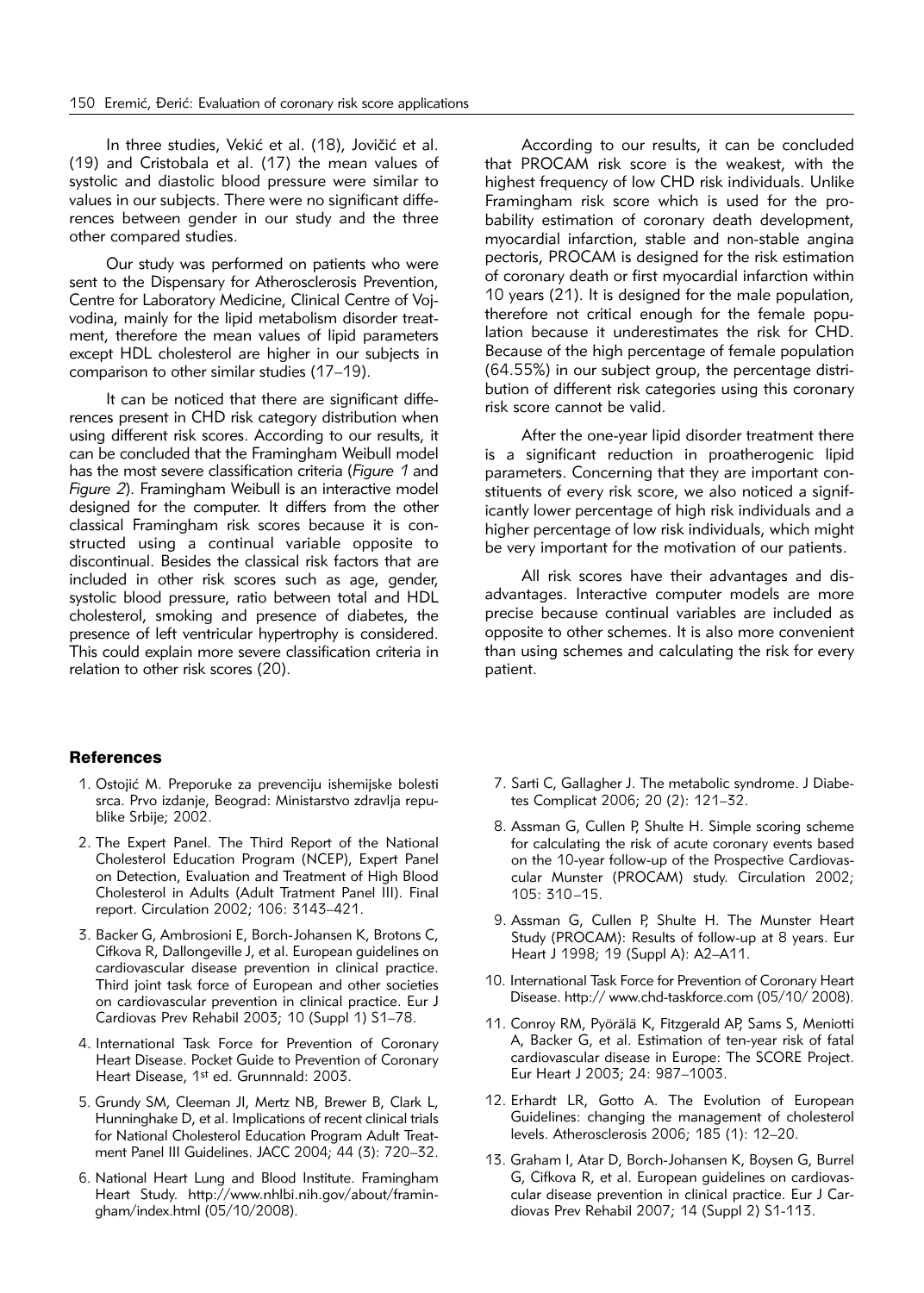In three studies, Vekić et al. (18), Jovičić et al. (19) and Cristobala et al. (17) the mean values of systolic and diastolic blood pressure were similar to values in our subjects. There were no significant differences between gender in our study and the three other compared studies.

Our study was performed on patients who were sent to the Dispensary for Atherosclerosis Prevention, Centre for Laboratory Medicine, Clinical Centre of Voivodina, mainly for the lipid metabolism disorder treatment, therefore the mean values of lipid parameters except HDL cholesterol are higher in our subjects in comparison to other similar studies (17–19).

It can be noticed that there are significant differences present in CHD risk category distribution when using different risk scores. According to our results, it can be concluded that the Framingham Weibull model has the most severe classification criteria (*Figure 1* and *Figure 2*). Framingham Weibull is an interactive model designed for the computer. It differs from the other classical Framingham risk scores because it is constructed using a continual variable opposite to discontinual. Besides the classical risk factors that are included in other risk scores such as age, gender, systolic blood pressure, ratio between total and HDL cholesterol, smoking and presence of diabetes, the presence of left ventricular hypertrophy is considered. This could explain more severe classification criteria in relation to other risk scores (20).

#### **References**

- 1. Ostojić M. Preporuke za prevenciju ishemijske bolesti srca. Prvo izdanje, Beograd: Ministarstvo zdravlja republike Srbije; 2002.
- 2. The Expert Panel. The Third Report of the National Cholesterol Education Program (NCEP), Expert Panel on Detection, Evaluation and Treatment of High Blood Cholesterol in Adults (Adult Tratment Panel III). Final report. Circulation 2002; 106: 3143–421.
- 3. Backer G, Ambrosioni E, Borch-Johansen K, Brotons C, Cifkova R, Dallongeville J, et al. European guidelines on cardiovascular disease prevention in clinical practice. Third joint task force of European and other societies on cardiovascular prevention in clinical practice. Eur J Cardiovas Prev Rehabil 2003; 10 (Suppl 1) S1–78.
- 4. International Task Force for Prevention of Coronary Heart Disease. Pocket Guide to Prevention of Coronary Heart Disease, 1st ed. Grunnnald: 2003.
- 5. Grundy SM, Cleeman JI, Mertz NB, Brewer B, Clark L, Hunninghake D, et al. Implications of recent clinical trials for National Cholesterol Education Program Adult Treat ment Panel III Guidelines. JACC 2004; 44 (3): 720–32.
- 6. National Heart Lung and Blood Institute. Framingham Heart Study. http://www.nhlbi.nih.gov/about/framingham/index.html (05/10/2008).

According to our results, it can be concluded that PROCAM risk score is the weakest, with the highest frequency of low CHD risk individuals. Unlike Framingham risk score which is used for the probability estimation of coronary death development, myocardial infarction, stable and non-stable angina pectoris, PROCAM is designed for the risk estimation of coronary death or first myocardial infarction within 10 years (21). It is designed for the male population, therefore not critical enough for the female population because it underestimates the risk for CHD. Because of the high percentage of female population (64.55%) in our subject group, the percentage distribution of different risk categories using this coronary risk score cannot be valid.

After the one-year lipid disorder treatment there is a significant reduction in proatherogenic lipid parameters. Concerning that they are important constituents of every risk score, we also noticed a significantly lower percentage of high risk individuals and a higher percentage of low risk individuals, which might be very important for the motivation of our patients.

All risk scores have their advantages and disadvantages. Interactive computer models are more precise because continual variables are included as opposite to other schemes. It is also more convenient than using schemes and calculating the risk for every patient.

- 7. Sarti C, Gallagher J. The metabolic syndrome. J Diabetes Complicat 2006; 20 (2): 121–32.
- 8. Assman G, Cullen P, Shulte H. Simple scoring scheme for calculating the risk of acute coronary events based on the 10-year follow-up of the Prospective Cardiovascular Munster (PROCAM) study. Circulation 2002; 105: 310–15.
- 9. Assman G, Cullen P, Shulte H. The Munster Heart Study (PROCAM): Results of follow-up at 8 years. Eur Heart J 1998; 19 (Suppl A): A2–A11.
- 10. International Task Force for Prevention of Coronary Heart Disease. http:// www.chd-taskforce.com (05/10/ 2008).
- 11. Conroy RM, Pyörälä K, Fitzgerald AP, Sams S, Meniotti A, Backer G, et al. Estimation of ten-year risk of fatal cardiovascular disease in Europe: The SCORE Project. Eur Heart J 2003; 24: 987–1003.
- 12. Erhardt LR, Gotto A. The Evolution of European Guidelines: changing the management of cholesterol levels. Atherosclerosis 2006; 185 (1): 12–20.
- 13. Graham I, Atar D, Borch-Johansen K, Boysen G, Burrel G, Cifkova R, et al. European quidelines on cardiovascular disease prevention in clinical practice. Eur J Cardiovas Prev Rehabil 2007; 14 (Suppl 2) S1-113.